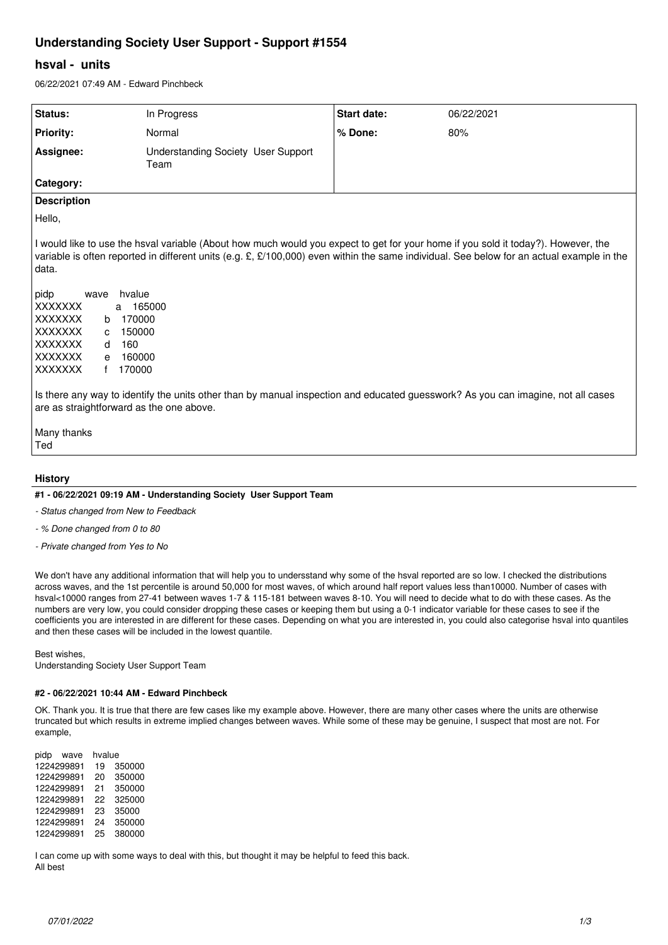# **Understanding Society User Support - Support #1554**

## **hsval - units**

06/22/2021 07:49 AM - Edward Pinchbeck

| Status:                                                                                                                                                                                                                                                                                                                                                                                                                                                                                                                                                                                                                                                                                 | In Progress                                | Start date: | 06/22/2021 |
|-----------------------------------------------------------------------------------------------------------------------------------------------------------------------------------------------------------------------------------------------------------------------------------------------------------------------------------------------------------------------------------------------------------------------------------------------------------------------------------------------------------------------------------------------------------------------------------------------------------------------------------------------------------------------------------------|--------------------------------------------|-------------|------------|
| <b>Priority:</b>                                                                                                                                                                                                                                                                                                                                                                                                                                                                                                                                                                                                                                                                        | Normal                                     | % Done:     | 80%        |
| Assignee:                                                                                                                                                                                                                                                                                                                                                                                                                                                                                                                                                                                                                                                                               | Understanding Society User Support<br>Team |             |            |
| Category:                                                                                                                                                                                                                                                                                                                                                                                                                                                                                                                                                                                                                                                                               |                                            |             |            |
| <b>Description</b>                                                                                                                                                                                                                                                                                                                                                                                                                                                                                                                                                                                                                                                                      |                                            |             |            |
| Hello,                                                                                                                                                                                                                                                                                                                                                                                                                                                                                                                                                                                                                                                                                  |                                            |             |            |
| I would like to use the hsval variable (About how much would you expect to get for your home if you sold it today?). However, the<br>variable is often reported in different units (e.g. £, £/100,000) even within the same individual. See below for an actual example in the<br>data.<br>pidp<br>hvalue<br>wave<br><b>XXXXXXX</b><br>165000<br>a<br><b>XXXXXXX</b><br>170000<br>b<br><b>XXXXXXX</b><br>150000<br>C.<br>XXXXXXX<br>160<br>d<br>XXXXXXX<br>160000<br>e<br><b>XXXXXXX</b><br>170000<br>f<br>Is there any way to identify the units other than by manual inspection and educated guesswork? As you can imagine, not all cases<br>are as straightforward as the one above. |                                            |             |            |
| Many thanks<br>Ted                                                                                                                                                                                                                                                                                                                                                                                                                                                                                                                                                                                                                                                                      |                                            |             |            |
|                                                                                                                                                                                                                                                                                                                                                                                                                                                                                                                                                                                                                                                                                         |                                            |             |            |

## **History**

## **#1 - 06/22/2021 09:19 AM - Understanding Society User Support Team**

*- Status changed from New to Feedback*

*- % Done changed from 0 to 80*

*- Private changed from Yes to No*

We don't have any additional information that will help you to undersstand why some of the hsval reported are so low. I checked the distributions across waves, and the 1st percentile is around 50,000 for most waves, of which around half report values less than10000. Number of cases with hsval<10000 ranges from 27-41 between waves 1-7 & 115-181 between waves 8-10. You will need to decide what to do with these cases. As the numbers are very low, you could consider dropping these cases or keeping them but using a 0-1 indicator variable for these cases to see if the coefficients you are interested in are different for these cases. Depending on what you are interested in, you could also categorise hsval into quantiles and then these cases will be included in the lowest quantile.

Best wishes,

Understanding Society User Support Team

## **#2 - 06/22/2021 10:44 AM - Edward Pinchbeck**

OK. Thank you. It is true that there are few cases like my example above. However, there are many other cases where the units are otherwise truncated but which results in extreme implied changes between waves. While some of these may be genuine, I suspect that most are not. For example,

pidp wave hvalue 1224299891 19 350000 1224299891 20 350000 1224299891 21 1224299891 22 325000 1224299891 23 35000 1224299891 24 1224299891 25 380000

I can come up with some ways to deal with this, but thought it may be helpful to feed this back. All best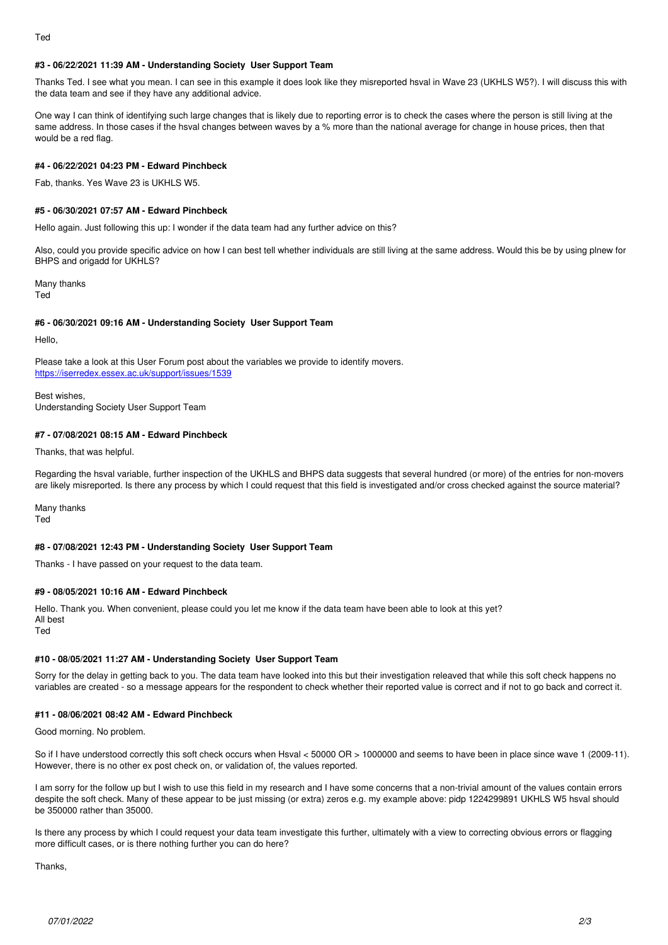## **#3 - 06/22/2021 11:39 AM - Understanding Society User Support Team**

Thanks Ted. I see what you mean. I can see in this example it does look like they misreported hsval in Wave 23 (UKHLS W5?). I will discuss this with the data team and see if they have any additional advice.

One way I can think of identifying such large changes that is likely due to reporting error is to check the cases where the person is still living at the same address. In those cases if the hsval changes between waves by a % more than the national average for change in house prices, then that would be a red flag.

## **#4 - 06/22/2021 04:23 PM - Edward Pinchbeck**

Fab, thanks. Yes Wave 23 is UKHLS W5.

## **#5 - 06/30/2021 07:57 AM - Edward Pinchbeck**

Hello again. Just following this up: I wonder if the data team had any further advice on this?

Also, could you provide specific advice on how I can best tell whether individuals are still living at the same address. Would this be by using plnew for BHPS and origadd for UKHLS?

Many thanks Ted

#### **#6 - 06/30/2021 09:16 AM - Understanding Society User Support Team**

Hello,

Please take a look at this User Forum post about the variables we provide to identify movers. <https://iserredex.essex.ac.uk/support/issues/1539>

Best wishes, Understanding Society User Support Team

## **#7 - 07/08/2021 08:15 AM - Edward Pinchbeck**

Thanks, that was helpful.

Regarding the hsval variable, further inspection of the UKHLS and BHPS data suggests that several hundred (or more) of the entries for non-movers are likely misreported. Is there any process by which I could request that this field is investigated and/or cross checked against the source material?

Many thanks Ted

#### **#8 - 07/08/2021 12:43 PM - Understanding Society User Support Team**

Thanks - I have passed on your request to the data team.

#### **#9 - 08/05/2021 10:16 AM - Edward Pinchbeck**

Hello. Thank you. When convenient, please could you let me know if the data team have been able to look at this yet? All best

Ted

#### **#10 - 08/05/2021 11:27 AM - Understanding Society User Support Team**

Sorry for the delay in getting back to you. The data team have looked into this but their investigation releaved that while this soft check happens no variables are created - so a message appears for the respondent to check whether their reported value is correct and if not to go back and correct it.

#### **#11 - 08/06/2021 08:42 AM - Edward Pinchbeck**

Good morning. No problem.

So if I have understood correctly this soft check occurs when Hsval < 50000 OR > 1000000 and seems to have been in place since wave 1 (2009-11). However, there is no other ex post check on, or validation of, the values reported.

I am sorry for the follow up but I wish to use this field in my research and I have some concerns that a non-trivial amount of the values contain errors despite the soft check. Many of these appear to be just missing (or extra) zeros e.g. my example above: pidp 1224299891 UKHLS W5 hsval should be 350000 rather than 35000.

Is there any process by which I could request your data team investigate this further, ultimately with a view to correcting obvious errors or flagging more difficult cases, or is there nothing further you can do here?

**Thanks**